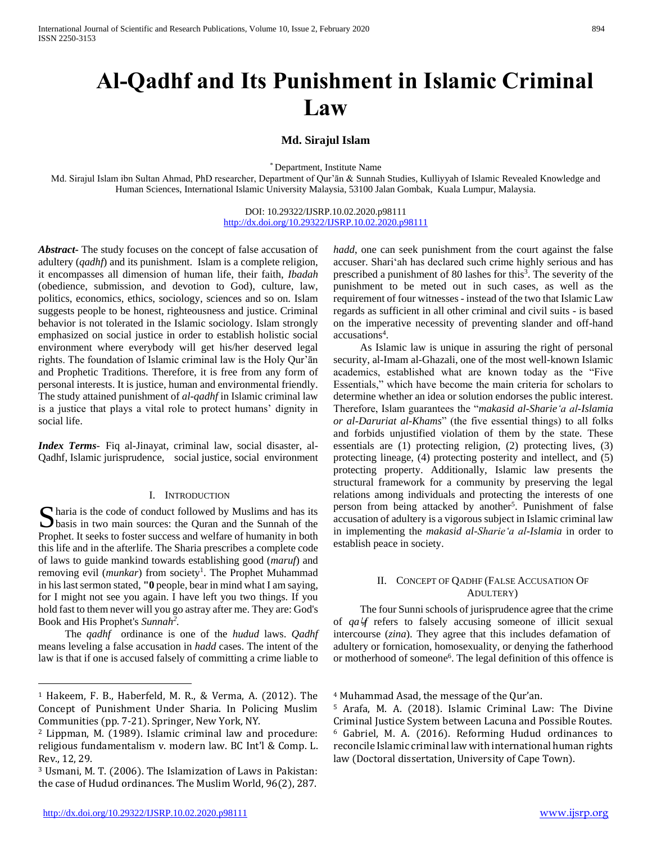# **Al-Qadhf and Its Punishment in Islamic Criminal Law**

# **Md. Sirajul Islam**

\* Department, Institute Name

Md. Sirajul Islam ibn Sultan Ahmad, PhD researcher, Department of Qur'ān & Sunnah Studies, Kulliyyah of Islamic Revealed Knowledge and Human Sciences, International Islamic University Malaysia, 53100 Jalan Gombak, Kuala Lumpur, Malaysia.

> DOI: 10.29322/IJSRP.10.02.2020.p98111 <http://dx.doi.org/10.29322/IJSRP.10.02.2020.p98111>

*Abstract***-** The study focuses on the concept of false accusation of adultery (*qadhf*) and its punishment. Islam is a complete religion, it encompasses all dimension of human life, their faith, *Ibadah* (obedience, submission, and devotion to God), culture, law, politics, economics, ethics, sociology, sciences and so on. Islam suggests people to be honest, righteousness and justice. Criminal behavior is not tolerated in the Islamic sociology. Islam strongly emphasized on social justice in order to establish holistic social environment where everybody will get his/her deserved legal rights. The foundation of Islamic criminal law is the Holy Qur'ān and Prophetic Traditions. Therefore, it is free from any form of personal interests. It is justice, human and environmental friendly. The study attained punishment of *al-qadhf* in Islamic criminal law is a justice that plays a vital role to protect humans' dignity in social life.

*Index Terms*- Fiq al-Jinayat, criminal law, social disaster, al-Qadhf, Islamic jurisprudence, social justice, social environment

### I. INTRODUCTION

haria is the code of conduct followed by Muslims and has its S haria is the code of conduct followed by Muslims and has its<br>basis in two main sources: the Quran and the Sunnah of the Prophet. It seeks to foster success and welfare of humanity in both this life and in the afterlife. The Sharia prescribes a complete code of laws to guide mankind towards establishing good (*maruf*) and removing evil (*munkar*) from society<sup>1</sup>. The Prophet Muhammad in his last sermon stated, **"0** people, bear in mind what I am saying, for I might not see you again. I have left you two things. If you hold fast to them never will you go astray after me. They are: God's Book and His Prophet's *Sunnah<sup>2</sup> .* 

 The *qadhf* ordinance is one of the *hudud* laws. *Qadhf* means leveling a false accusation in *hadd* cases. The intent of the law is that if one is accused falsely of committing a crime liable to

 $\overline{a}$ 

*hadd*, one can seek punishment from the court against the false accuser. Shari'ah has declared such crime highly serious and has prescribed a punishment of 80 lashes for this<sup>3</sup>. The severity of the punishment to be meted out in such cases, as well as the requirement of four witnesses - instead of the two that Islamic Law regards as sufficient in all other criminal and civil suits - is based on the imperative necessity of preventing slander and off-hand accusations<sup>4</sup>.

 As Islamic law is unique in assuring the right of personal security, al-Imam al-Ghazali, one of the most well-known Islamic academics, established what are known today as the "Five Essentials," which have become the main criteria for scholars to determine whether an idea or solution endorses the public interest. Therefore, Islam guarantees the "*makasid al-Sharie'a al-Islamia or al-Daruriat al-Khams*" (the five essential things) to all folks and forbids unjustified violation of them by the state. These essentials are (1) protecting religion, (2) protecting lives, (3) protecting lineage, (4) protecting posterity and intellect, and (5) protecting property. Additionally, Islamic law presents the structural framework for a community by preserving the legal relations among individuals and protecting the interests of one person from being attacked by another<sup>5</sup>. Punishment of false accusation of adultery is a vigorous subject in Islamic criminal law in implementing the *makasid al-Sharie'a al-Islamia* in order to establish peace in society.

## II. CONCEPT OF QADHF (FALSE ACCUSATION OF ADULTERY)

 The four Sunni schools of jurisprudence agree that the crime of *qa*يا*f* refers to falsely accusing someone of illicit sexual intercourse (*zina*). They agree that this includes defamation of adultery or fornication, homosexuality, or denying the fatherhood or motherhood of someone<sup>6</sup>. The legal definition of this offence is

<sup>1</sup> Hakeem, F. B., Haberfeld, M. R., & Verma, A. (2012). The Concept of Punishment Under Sharia. In Policing Muslim Communities (pp. 7-21). Springer, New York, NY.

<sup>2</sup> Lippman, M. (1989). Islamic criminal law and procedure: religious fundamentalism v. modern law. BC Int'l & Comp. L. Rev., 12, 29.

<sup>3</sup> Usmani, M. T. (2006). The Islamization of Laws in Pakistan: the case of Hudud ordinances. The Muslim World, 96(2), 287.

<sup>4</sup> Muhammad Asad, the message of the Qur'an.

<sup>5</sup> Arafa, M. A. (2018). Islamic Criminal Law: The Divine Criminal Justice System between Lacuna and Possible Routes. <sup>6</sup> Gabriel, M. A. (2016). Reforming Hudud ordinances to reconcile Islamic criminal law with international human rights law (Doctoral dissertation, University of Cape Town).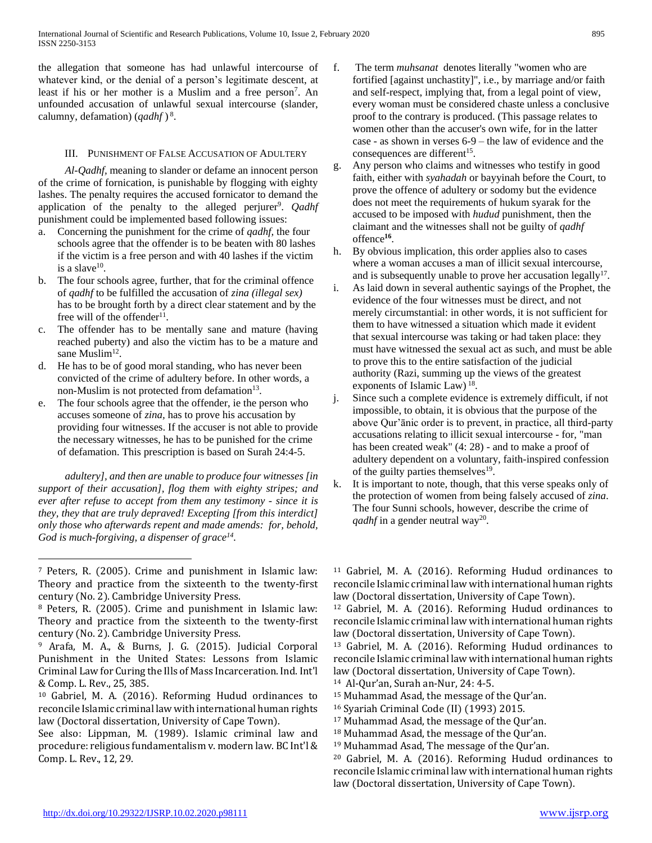the allegation that someone has had unlawful intercourse of whatever kind, or the denial of a person's legitimate descent, at least if his or her mother is a Muslim and a free person<sup>7</sup>. An unfounded accusation of unlawful sexual intercourse (slander, calumny, defamation) (*qadhf* ) 8 .

# III. PUNISHMENT OF FALSE ACCUSATION OF ADULTERY

 *Al-Qadhf,* meaning to slander or defame an innocent person of the crime of fornication, is punishable by flogging with eighty lashes. The penalty requires the accused fornicator to demand the application of the penalty to the alleged perjurer<sup>9</sup>. *Qadhf* punishment could be implemented based following issues:

- a. Concerning the punishment for the crime of *qadhf,* the four schools agree that the offender is to be beaten with 80 lashes if the victim is a free person and with 40 lashes if the victim is a slave $^{10}$ .
- b. The four schools agree, further, that for the criminal offence of *qadhf* to be fulfilled the accusation of *zina (illegal sex)* has to be brought forth by a direct clear statement and by the free will of the offender<sup>11</sup>.
- c. The offender has to be mentally sane and mature (having reached puberty) and also the victim has to be a mature and sane Muslim<sup>12</sup>.
- d. He has to be of good moral standing, who has never been convicted of the crime of adultery before. In other words, a non-Muslim is not protected from defamation<sup>13</sup>.
- e. The four schools agree that the offender, ie the person who accuses someone of *zina,* has to prove his accusation by providing four witnesses. If the accuser is not able to provide the necessary witnesses, he has to be punished for the crime of defamation. This prescription is based on Surah 24:4-5.

 *adultery], and then are unable to produce four witnesses [in support of their accusation], flog them with eighty stripes; and ever after refuse to accept from them any testimony - since it is they, they that are truly depraved! Excepting [from this interdict] only those who afterwards repent and made amends: for, behold, God is much-forgiving, a dispenser of grace<sup>14</sup> .*

 $\overline{a}$ 

See also: Lippman, M. (1989). Islamic criminal law and procedure: religious fundamentalism v. modern law. BC Int'l & Comp. L. Rev., 12, 29.

- f. The term *muhsanat* denotes literally "women who are fortified [against unchastity]", i.e., by marriage and/or faith and self-respect, implying that, from a legal point of view, every woman must be considered chaste unless a conclusive proof to the contrary is produced. (This passage relates to women other than the accuser's own wife, for in the latter case - as shown in verses 6-9 – the law of evidence and the consequences are different<sup>15</sup>.
- g. Any person who claims and witnesses who testify in good faith, either with *syahadah* or bayyinah before the Court, to prove the offence of adultery or sodomy but the evidence does not meet the requirements of hukum syarak for the accused to be imposed with *hudud* punishment, then the claimant and the witnesses shall not be guilty of *qadhf* offence**<sup>16</sup>** .
- h. By obvious implication, this order applies also to cases where a woman accuses a man of illicit sexual intercourse, and is subsequently unable to prove her accusation legally $17$ .
- i. As laid down in several authentic sayings of the Prophet, the evidence of the four witnesses must be direct, and not merely circumstantial: in other words, it is not sufficient for them to have witnessed a situation which made it evident that sexual intercourse was taking or had taken place: they must have witnessed the sexual act as such, and must be able to prove this to the entire satisfaction of the judicial authority (Razi, summing up the views of the greatest exponents of Islamic Law)<sup>18</sup>.
- j. Since such a complete evidence is extremely difficult, if not impossible, to obtain, it is obvious that the purpose of the above Qur'ānic order is to prevent, in practice, all third-party accusations relating to illicit sexual intercourse - for, "man has been created weak" (4: 28) - and to make a proof of adultery dependent on a voluntary, faith-inspired confession of the guilty parties themselves<sup>19</sup>.
- k. It is important to note, though, that this verse speaks only of the protection of women from being falsely accused of *zina*. The four Sunni schools, however, describe the crime of *qadhf* in a gender neutral way<sup>20</sup>.

<sup>11</sup> Gabriel, M. A. (2016). Reforming Hudud ordinances to reconcile Islamic criminal law with international human rights law (Doctoral dissertation, University of Cape Town).

<sup>12</sup> Gabriel, M. A. (2016). Reforming Hudud ordinances to reconcile Islamic criminal law with international human rights law (Doctoral dissertation, University of Cape Town).

<sup>13</sup> Gabriel, M. A. (2016). Reforming Hudud ordinances to reconcile Islamic criminal law with international human rights law (Doctoral dissertation, University of Cape Town).

<sup>14</sup> Al-Qur'an, Surah an-Nur, 24: 4-5.

<sup>15</sup> Muhammad Asad, the message of the Qur'an.

- <sup>16</sup> Syariah Criminal Code (II) (1993) 2015.
- <sup>17</sup> Muhammad Asad, the message of the Qur'an.
- <sup>18</sup> Muhammad Asad, the message of the Qur'an.
- <sup>19</sup> Muhammad Asad, The message of the Qur'an.

<sup>20</sup> Gabriel, M. A. (2016). Reforming Hudud ordinances to reconcile Islamic criminal law with international human rights law (Doctoral dissertation, University of Cape Town).

<sup>7</sup> Peters, R. (2005). Crime and punishment in Islamic law: Theory and practice from the sixteenth to the twenty-first century (No. 2). Cambridge University Press.

<sup>8</sup> Peters, R. (2005). Crime and punishment in Islamic law: Theory and practice from the sixteenth to the twenty-first century (No. 2). Cambridge University Press.

<sup>9</sup> Arafa, M. A., & Burns, J. G. (2015). Judicial Corporal Punishment in the United States: Lessons from Islamic Criminal Law for Curing the Ills of Mass Incarceration. Ind. Int'l & Comp. L. Rev., 25, 385.

<sup>10</sup> Gabriel, M. A. (2016). Reforming Hudud ordinances to reconcile Islamic criminal law with international human rights law (Doctoral dissertation, University of Cape Town).